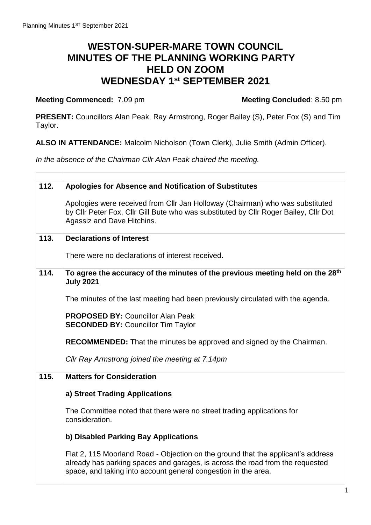## **WESTON-SUPER-MARE TOWN COUNCIL MINUTES OF THE PLANNING WORKING PARTY HELD ON ZOOM WEDNESDAY 1 st SEPTEMBER 2021**

## **Meeting Commenced:** 7.09 pm<br>**Meeting Concluded: 8.50 pm**

**PRESENT:** Councillors Alan Peak, Ray Armstrong, Roger Bailey (S), Peter Fox (S) and Tim Taylor.

**ALSO IN ATTENDANCE:** Malcolm Nicholson (Town Clerk), Julie Smith (Admin Officer).

*In the absence of the Chairman Cllr Alan Peak chaired the meeting.*

| 112. | Apologies for Absence and Notification of Substitutes                                                                                                                                                                               |
|------|-------------------------------------------------------------------------------------------------------------------------------------------------------------------------------------------------------------------------------------|
|      | Apologies were received from Cllr Jan Holloway (Chairman) who was substituted<br>by Cllr Peter Fox, Cllr Gill Bute who was substituted by Cllr Roger Bailey, Cllr Dot<br>Agassiz and Dave Hitchins.                                 |
| 113. | <b>Declarations of Interest</b>                                                                                                                                                                                                     |
|      | There were no declarations of interest received.                                                                                                                                                                                    |
| 114. | To agree the accuracy of the minutes of the previous meeting held on the 28 <sup>th</sup><br><b>July 2021</b>                                                                                                                       |
|      | The minutes of the last meeting had been previously circulated with the agenda.                                                                                                                                                     |
|      | <b>PROPOSED BY: Councillor Alan Peak</b><br><b>SECONDED BY: Councillor Tim Taylor</b>                                                                                                                                               |
|      | <b>RECOMMENDED:</b> That the minutes be approved and signed by the Chairman.                                                                                                                                                        |
|      | Cllr Ray Armstrong joined the meeting at 7.14pm                                                                                                                                                                                     |
| 115. | <b>Matters for Consideration</b>                                                                                                                                                                                                    |
|      | a) Street Trading Applications                                                                                                                                                                                                      |
|      | The Committee noted that there were no street trading applications for<br>consideration.                                                                                                                                            |
|      | b) Disabled Parking Bay Applications                                                                                                                                                                                                |
|      | Flat 2, 115 Moorland Road - Objection on the ground that the applicant's address<br>already has parking spaces and garages, is across the road from the requested<br>space, and taking into account general congestion in the area. |